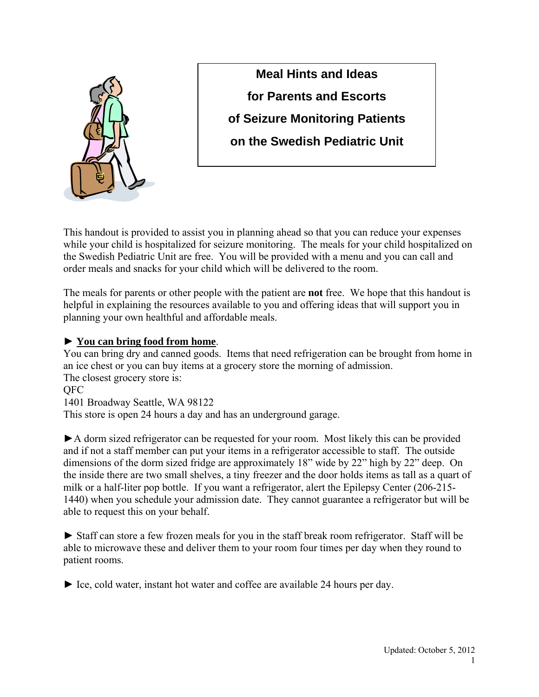

**Meal Hints and Ideas for Parents and Escorts of Seizure Monitoring Patients on the Swedish Pediatric Unit** 

This handout is provided to assist you in planning ahead so that you can reduce your expenses while your child is hospitalized for seizure monitoring. The meals for your child hospitalized on the Swedish Pediatric Unit are free. You will be provided with a menu and you can call and order meals and snacks for your child which will be delivered to the room.

The meals for parents or other people with the patient are **not** free. We hope that this handout is helpful in explaining the resources available to you and offering ideas that will support you in planning your own healthful and affordable meals.

# ► **You can bring food from home**.

You can bring dry and canned goods. Items that need refrigeration can be brought from home in an ice chest or you can buy items at a grocery store the morning of admission. The closest grocery store is:

QFC

1401 Broadway Seattle, WA 98122

This store is open 24 hours a day and has an underground garage.

►A dorm sized refrigerator can be requested for your room. Most likely this can be provided and if not a staff member can put your items in a refrigerator accessible to staff. The outside dimensions of the dorm sized fridge are approximately 18" wide by 22" high by 22" deep. On the inside there are two small shelves, a tiny freezer and the door holds items as tall as a quart of milk or a half-liter pop bottle. If you want a refrigerator, alert the Epilepsy Center (206-215- 1440) when you schedule your admission date. They cannot guarantee a refrigerator but will be able to request this on your behalf.

► Staff can store a few frozen meals for you in the staff break room refrigerator. Staff will be able to microwave these and deliver them to your room four times per day when they round to patient rooms.

► Ice, cold water, instant hot water and coffee are available 24 hours per day.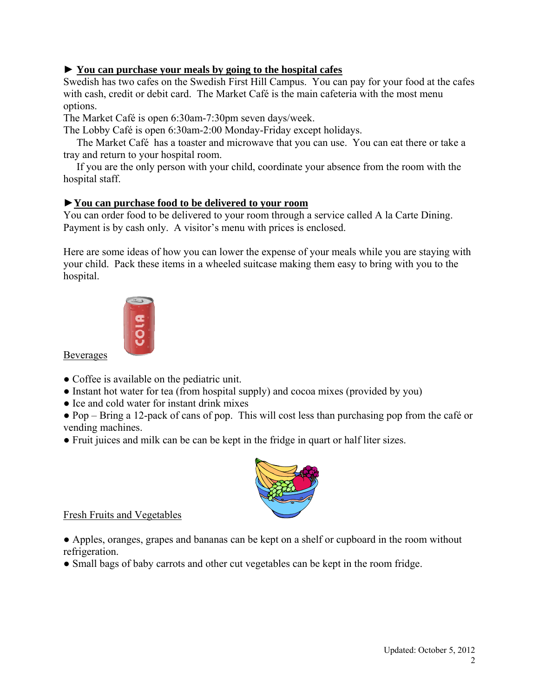## ► **You can purchase your meals by going to the hospital cafes**

Swedish has two cafes on the Swedish First Hill Campus. You can pay for your food at the cafes with cash, credit or debit card. The Market Café is the main cafeteria with the most menu options.

The Market Café is open 6:30am-7:30pm seven days/week.

The Lobby Café is open 6:30am-2:00 Monday-Friday except holidays.

 The Market Café has a toaster and microwave that you can use. You can eat there or take a tray and return to your hospital room.

 If you are the only person with your child, coordinate your absence from the room with the hospital staff.

### ►**You can purchase food to be delivered to your room**

You can order food to be delivered to your room through a service called A la Carte Dining. Payment is by cash only. A visitor's menu with prices is enclosed.

Here are some ideas of how you can lower the expense of your meals while you are staying with your child. Pack these items in a wheeled suitcase making them easy to bring with you to the hospital.



Beverages

- Coffee is available on the pediatric unit.
- Instant hot water for tea (from hospital supply) and cocoa mixes (provided by you)
- Ice and cold water for instant drink mixes
- Pop Bring a 12-pack of cans of pop. This will cost less than purchasing pop from the café or vending machines.
- Fruit juices and milk can be can be kept in the fridge in quart or half liter sizes.



Fresh Fruits and Vegetables

● Apples, oranges, grapes and bananas can be kept on a shelf or cupboard in the room without refrigeration.

• Small bags of baby carrots and other cut vegetables can be kept in the room fridge.